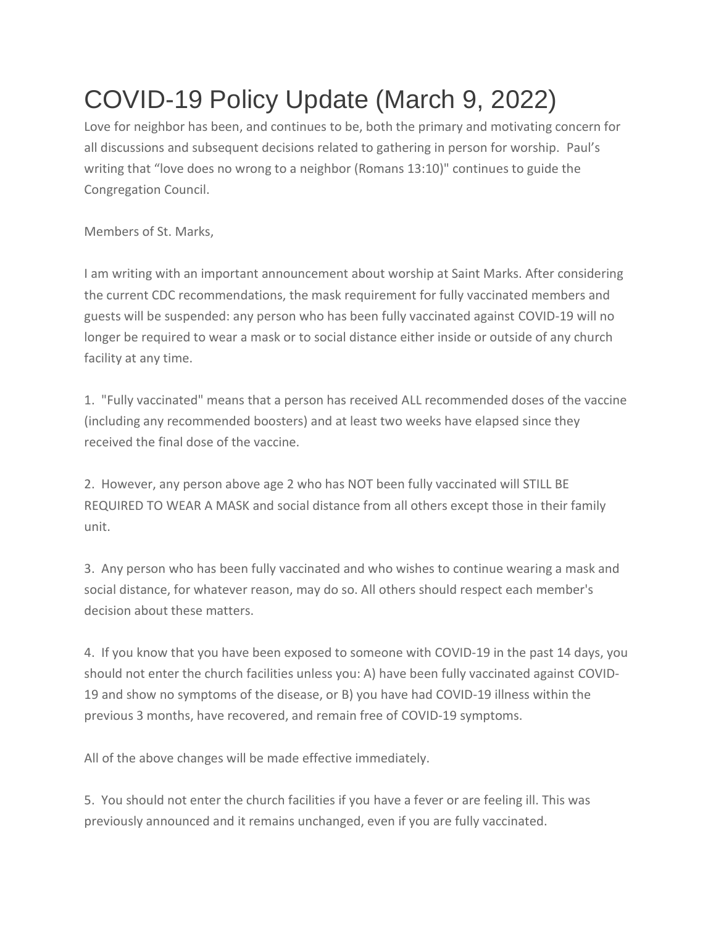## COVID-19 Policy Update (March 9, 2022)

Love for neighbor has been, and continues to be, both the primary and motivating concern for all discussions and subsequent decisions related to gathering in person for worship. Paul's writing that "love does no wrong to a neighbor (Romans 13:10)" continues to guide the Congregation Council.

Members of St. Marks,

I am writing with an important announcement about worship at Saint Marks. After considering the current CDC recommendations, the mask requirement for fully vaccinated members and guests will be suspended: any person who has been fully vaccinated against COVID-19 will no longer be required to wear a mask or to social distance either inside or outside of any church facility at any time.

1. "Fully vaccinated" means that a person has received ALL recommended doses of the vaccine (including any recommended boosters) and at least two weeks have elapsed since they received the final dose of the vaccine.

2. However, any person above age 2 who has NOT been fully vaccinated will STILL BE REQUIRED TO WEAR A MASK and social distance from all others except those in their family unit.

3. Any person who has been fully vaccinated and who wishes to continue wearing a mask and social distance, for whatever reason, may do so. All others should respect each member's decision about these matters.

4. If you know that you have been exposed to someone with COVID-19 in the past 14 days, you should not enter the church facilities unless you: A) have been fully vaccinated against COVID-19 and show no symptoms of the disease, or B) you have had COVID-19 illness within the previous 3 months, have recovered, and remain free of COVID-19 symptoms.

All of the above changes will be made effective immediately.

5. You should not enter the church facilities if you have a fever or are feeling ill. This was previously announced and it remains unchanged, even if you are fully vaccinated.